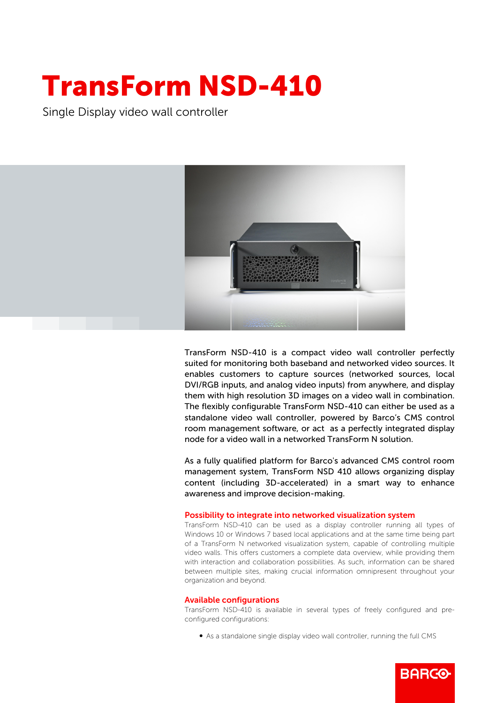## TransForm NSD-410

Single Display video wall controller



TransForm NSD-410 is a compact video wall controller perfectly suited for monitoring both baseband and networked video sources. It enables customers to capture sources (networked sources, local DVI/RGB inputs, and analog video inputs) from anywhere, and display them with high resolution 3D images on a video wall in combination. The flexibly configurable TransForm NSD-410 can either be used as a standalone video wall controller, powered by Barco's CMS control room management software, or act as a perfectly integrated display node for a video wall in a networked TransForm N solution.

As a fully qualified platform for Barco's advanced CMS control room management system, TransForm NSD 410 allows organizing display content (including 3D-accelerated) in a smart way to enhance awareness and improve decision-making.

## Possibility to integrate into networked visualization system

TransForm NSD-410 can be used as a display controller running all types of Windows 10 or Windows 7 based local applications and at the same time being part of a TransForm N networked visualization system, capable of controlling multiple video walls. This offers customers a complete data overview, while providing them with interaction and collaboration possibilities. As such, information can be shared between multiple sites, making crucial information omnipresent throughout your organization and beyond.

## Available configurations

TransForm NSD-410 is available in several types of freely configured and preconfigured configurations:

• As a standalone single display video wall controller, running the full CMS

**BARGO**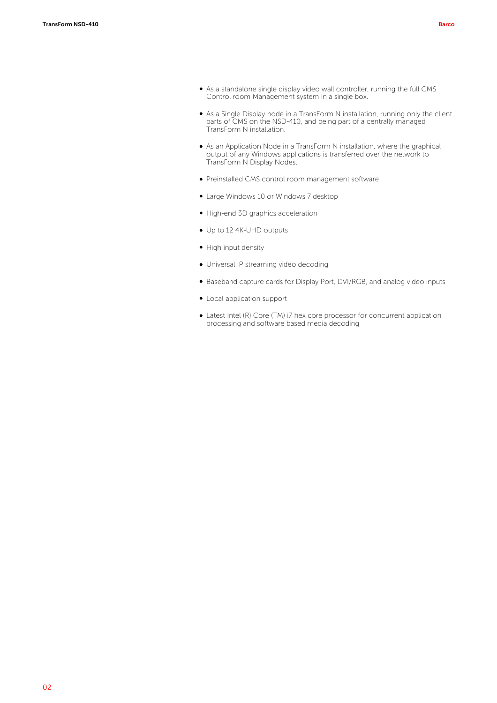- As a standalone single display video wall controller, running the full CMS Control room Management system in a single box.
- b As a Single Display node in a TransForm N installation, running only the client parts of CMS on the NSD-410, and being part of a centrally managed TransForm N installation.
- b As an Application Node in a TransForm N installation, where the graphical output of any Windows applications is transferred over the network to TransForm N Display Nodes.
- b Preinstalled CMS control room management software
- Large Windows 10 or Windows 7 desktop
- b High-end 3D graphics acceleration
- Up to 12 4K-UHD outputs
- High input density
- Universal IP streaming video decoding
- b Baseband capture cards for Display Port, DVI/RGB, and analog video inputs
- Local application support
- Latest Intel (R) Core (TM) i7 hex core processor for concurrent application processing and software based media decoding